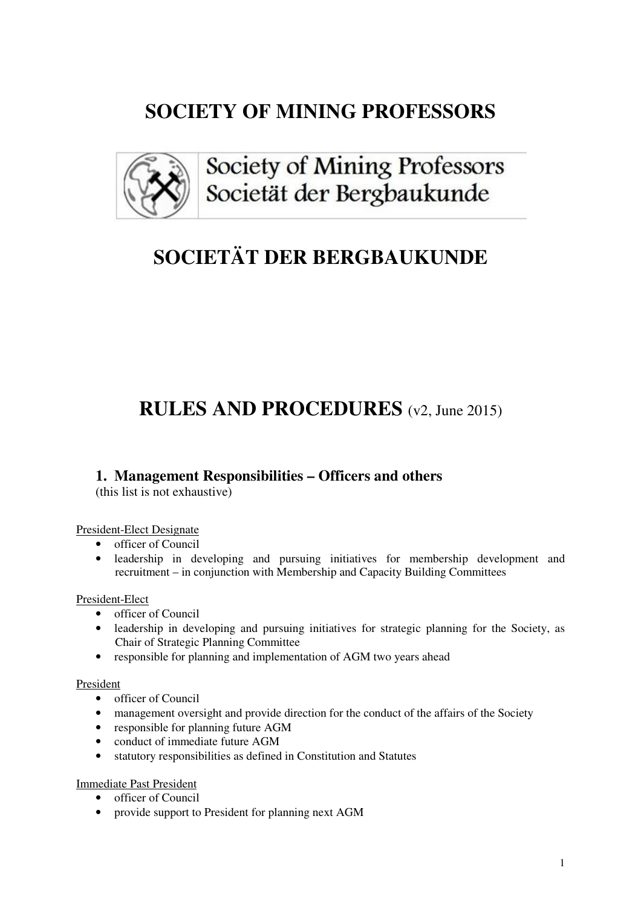## **SOCIETY OF MINING PROFESSORS**



Society of Mining Professors Societät der Bergbaukunde

# **SOCIETÄT DER BERGBAUKUNDE**

## **RULES AND PROCEDURES** (v2, June 2015)

### **1. Management Responsibilities – Officers and others**

(this list is not exhaustive)

#### President-Elect Designate

- officer of Council
- leadership in developing and pursuing initiatives for membership development and recruitment – in conjunction with Membership and Capacity Building Committees

#### President-Elect

- officer of Council
- leadership in developing and pursuing initiatives for strategic planning for the Society, as Chair of Strategic Planning Committee
- responsible for planning and implementation of AGM two years ahead

#### President

- officer of Council
- management oversight and provide direction for the conduct of the affairs of the Society
- responsible for planning future AGM
- conduct of immediate future AGM
- statutory responsibilities as defined in Constitution and Statutes

#### Immediate Past President

- officer of Council
- provide support to President for planning next AGM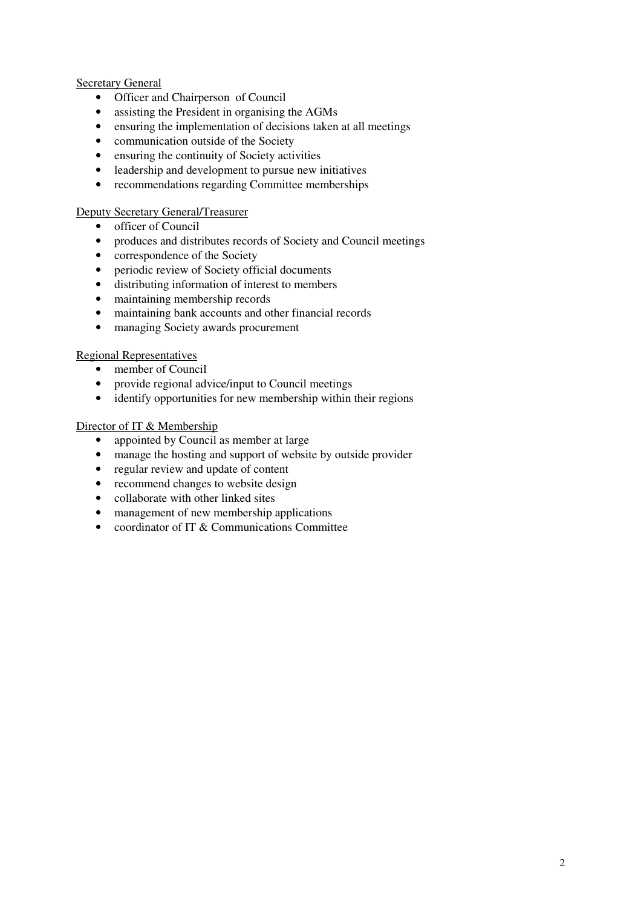#### **Secretary General**

- Officer and Chairperson of Council
- assisting the President in organising the AGMs
- ensuring the implementation of decisions taken at all meetings
- communication outside of the Society
- ensuring the continuity of Society activities
- leadership and development to pursue new initiatives
- recommendations regarding Committee memberships

#### Deputy Secretary General/Treasurer

- officer of Council
- produces and distributes records of Society and Council meetings
- correspondence of the Society
- periodic review of Society official documents
- distributing information of interest to members
- maintaining membership records
- maintaining bank accounts and other financial records
- managing Society awards procurement

#### Regional Representatives

- member of Council
- provide regional advice/input to Council meetings
- identify opportunities for new membership within their regions

#### Director of IT & Membership

- appointed by Council as member at large
- manage the hosting and support of website by outside provider
- regular review and update of content
- recommend changes to website design
- collaborate with other linked sites
- management of new membership applications
- coordinator of IT  $\&$  Communications Committee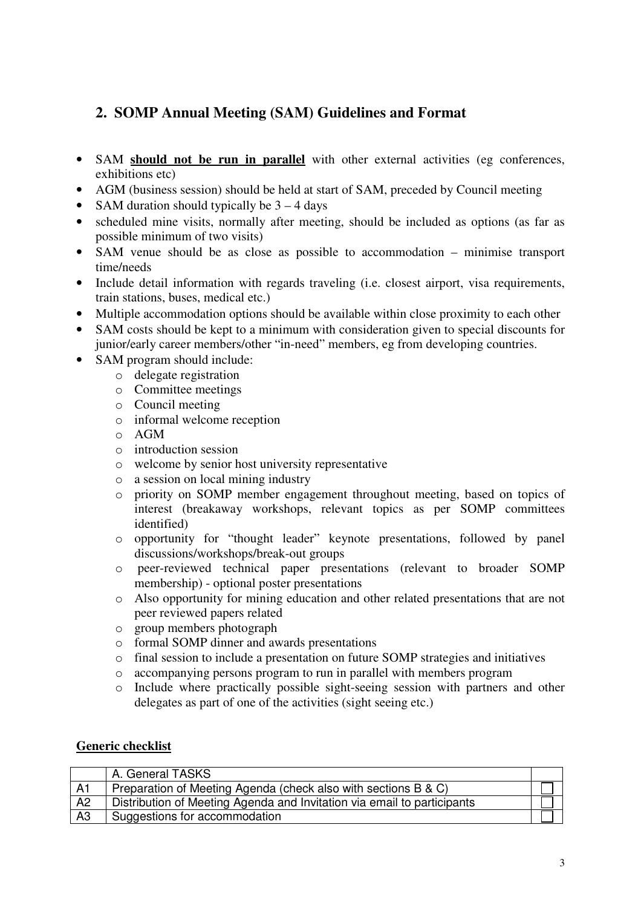## **2. SOMP Annual Meeting (SAM) Guidelines and Format**

- SAM **should not be run in parallel** with other external activities (eg conferences, exhibitions etc)
- AGM (business session) should be held at start of SAM, preceded by Council meeting
- SAM duration should typically be  $3 4$  days
- scheduled mine visits, normally after meeting, should be included as options (as far as possible minimum of two visits)
- SAM venue should be as close as possible to accommodation minimise transport time/needs
- Include detail information with regards traveling (i.e. closest airport, visa requirements, train stations, buses, medical etc.)
- Multiple accommodation options should be available within close proximity to each other
- SAM costs should be kept to a minimum with consideration given to special discounts for junior/early career members/other "in-need" members, eg from developing countries.
- SAM program should include:
	- o delegate registration
	- o Committee meetings
	- o Council meeting
	- o informal welcome reception
	- o AGM
	- o introduction session
	- o welcome by senior host university representative
	- o a session on local mining industry
	- o priority on SOMP member engagement throughout meeting, based on topics of interest (breakaway workshops, relevant topics as per SOMP committees identified)
	- o opportunity for "thought leader" keynote presentations, followed by panel discussions/workshops/break-out groups
	- o peer-reviewed technical paper presentations (relevant to broader SOMP membership) - optional poster presentations
	- o Also opportunity for mining education and other related presentations that are not peer reviewed papers related
	- o group members photograph
	- o formal SOMP dinner and awards presentations
	- o final session to include a presentation on future SOMP strategies and initiatives
	- o accompanying persons program to run in parallel with members program
	- o Include where practically possible sight-seeing session with partners and other delegates as part of one of the activities (sight seeing etc.)

### **Generic checklist**

|                | A. General TASKS                                                        |  |
|----------------|-------------------------------------------------------------------------|--|
| A <sub>1</sub> | Preparation of Meeting Agenda (check also with sections B & C)          |  |
| A2             | Distribution of Meeting Agenda and Invitation via email to participants |  |
| A <sub>3</sub> | Suggestions for accommodation                                           |  |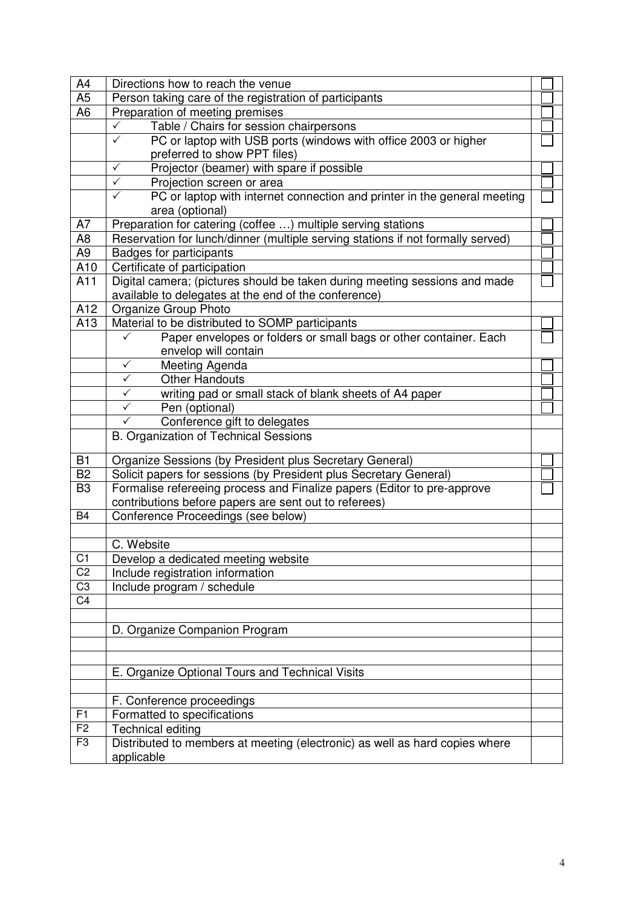| A4              | Directions how to reach the venue                                                                           |  |
|-----------------|-------------------------------------------------------------------------------------------------------------|--|
| A <sub>5</sub>  | Person taking care of the registration of participants                                                      |  |
| A <sub>6</sub>  | Preparation of meeting premises                                                                             |  |
|                 | Table / Chairs for session chairpersons<br>✓                                                                |  |
|                 | $\checkmark$<br>PC or laptop with USB ports (windows with office 2003 or higher                             |  |
|                 | preferred to show PPT files)                                                                                |  |
|                 | $\checkmark$<br>Projector (beamer) with spare if possible                                                   |  |
|                 | $\checkmark$<br>Projection screen or area                                                                   |  |
|                 | $\checkmark$<br>PC or laptop with internet connection and printer in the general meeting<br>area (optional) |  |
| A7              | Preparation for catering (coffee ) multiple serving stations                                                |  |
| A8              | Reservation for lunch/dinner (multiple serving stations if not formally served)                             |  |
| A9              | <b>Badges for participants</b>                                                                              |  |
| A10             | Certificate of participation                                                                                |  |
| A11             | Digital camera; (pictures should be taken during meeting sessions and made                                  |  |
|                 | available to delegates at the end of the conference)                                                        |  |
| A12             | Organize Group Photo                                                                                        |  |
| A13             | Material to be distributed to SOMP participants                                                             |  |
|                 | Paper envelopes or folders or small bags or other container. Each                                           |  |
|                 | envelop will contain                                                                                        |  |
|                 | $\checkmark$<br>Meeting Agenda                                                                              |  |
|                 | <b>Other Handouts</b><br>$\checkmark$                                                                       |  |
|                 | $\checkmark$<br>writing pad or small stack of blank sheets of A4 paper                                      |  |
|                 | ✓<br>Pen (optional)                                                                                         |  |
|                 | Conference gift to delegates<br>✓                                                                           |  |
|                 | <b>B. Organization of Technical Sessions</b>                                                                |  |
| B1              | Organize Sessions (by President plus Secretary General)                                                     |  |
| B <sub>2</sub>  | Solicit papers for sessions (by President plus Secretary General)                                           |  |
| B <sub>3</sub>  | Formalise refereeing process and Finalize papers (Editor to pre-approve                                     |  |
|                 | contributions before papers are sent out to referees)                                                       |  |
| B4              | Conference Proceedings (see below)                                                                          |  |
|                 |                                                                                                             |  |
|                 | C. Website                                                                                                  |  |
| C <sub>1</sub>  | Develop a dedicated meeting website                                                                         |  |
| C <sub>2</sub>  | Include registration information                                                                            |  |
| C <sub>3</sub>  | Include program / schedule                                                                                  |  |
| $\overline{C4}$ |                                                                                                             |  |
|                 |                                                                                                             |  |
|                 | D. Organize Companion Program                                                                               |  |
|                 |                                                                                                             |  |
|                 |                                                                                                             |  |
|                 | E. Organize Optional Tours and Technical Visits                                                             |  |
|                 |                                                                                                             |  |
|                 | F. Conference proceedings                                                                                   |  |
| F1              | Formatted to specifications                                                                                 |  |
| F <sub>2</sub>  | Technical editing                                                                                           |  |
| F <sub>3</sub>  | Distributed to members at meeting (electronic) as well as hard copies where                                 |  |
|                 | applicable                                                                                                  |  |